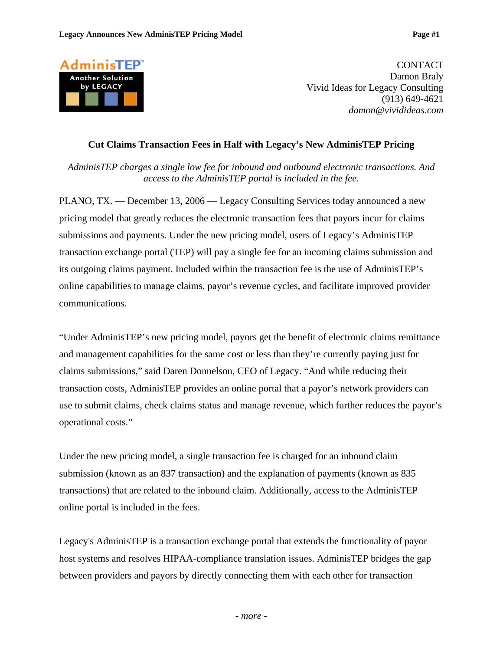

CONTACT Damon Braly Vivid Ideas for Legacy Consulting (913) 649-4621 *damon@vividideas.com* 

## **Cut Claims Transaction Fees in Half with Legacy's New AdminisTEP Pricing**

*AdminisTEP charges a single low fee for inbound and outbound electronic transactions. And access to the AdminisTEP portal is included in the fee.* 

PLANO, TX. — December 13, 2006 — Legacy Consulting Services today announced a new pricing model that greatly reduces the electronic transaction fees that payors incur for claims submissions and payments. Under the new pricing model, users of Legacy's AdminisTEP transaction exchange portal (TEP) will pay a single fee for an incoming claims submission and its outgoing claims payment. Included within the transaction fee is the use of AdminisTEP's online capabilities to manage claims, payor's revenue cycles, and facilitate improved provider communications.

"Under AdminisTEP's new pricing model, payors get the benefit of electronic claims remittance and management capabilities for the same cost or less than they're currently paying just for claims submissions," said Daren Donnelson, CEO of Legacy. "And while reducing their transaction costs, AdminisTEP provides an online portal that a payor's network providers can use to submit claims, check claims status and manage revenue, which further reduces the payor's operational costs."

Under the new pricing model, a single transaction fee is charged for an inbound claim submission (known as an 837 transaction) and the explanation of payments (known as 835 transactions) that are related to the inbound claim. Additionally, access to the AdminisTEP online portal is included in the fees.

Legacy's AdminisTEP is a transaction exchange portal that extends the functionality of payor host systems and resolves HIPAA-compliance translation issues. AdminisTEP bridges the gap between providers and payors by directly connecting them with each other for transaction